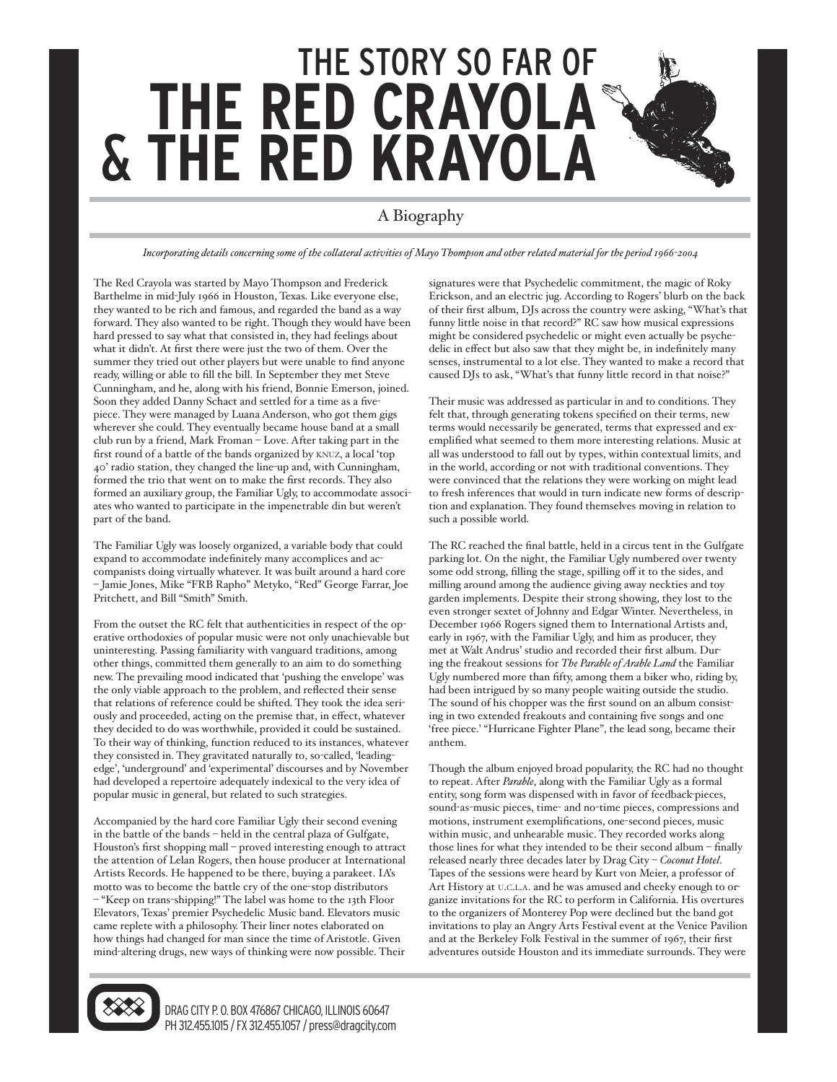## THE STORY SO FAR OF **THE RED CRAYOL** & **THE RED KRAYOLA**

## A Biography

*Incorporating details concerning some of the collateral activities of Mayo Thompson and other related material for the period 1966-2004*

The Red Crayola was started by Mayo Thompson and Frederick Barthelme in mid-July 1966 in Houston, Texas. Like everyone else, they wanted to be rich and famous, and regarded the band as a way forward. They also wanted to be right. Though they would have been hard pressed to say what that consisted in, they had feelings about what it didn't. At first there were just the two of them. Over the summer they tried out other players but were unable to find anyone ready, willing or able to fill the bill. In September they met Steve Cunningham, and he, along with his friend, Bonnie Emerson, joined. Soon they added Danny Schact and settled for a time as a fivepiece. They were managed by Luana Anderson, who got them gigs wherever she could. They eventually became house band at a small club run by a friend, Mark Froman – Love. After taking part in the first round of a battle of the bands organized by KNUZ, a local 'top 40' radio station, they changed the line-up and, with Cunningham, formed the trio that went on to make the first records. They also formed an auxiliary group, the Familiar Ugly, to accommodate associates who wanted to participate in the impenetrable din but weren't part of the band.

The Familiar Ugly was loosely organized, a variable body that could expand to accommodate indefinitely many accomplices and accompanists doing virtually whatever. It was built around a hard core – Jamie Jones, Mike "FRB Rapho" Metyko, "Red" George Farrar, Joe Pritchett, and Bill "Smith" Smith.

From the outset the RC felt that authenticities in respect of the operative orthodoxies of popular music were not only unachievable but uninteresting. Passing familiarity with vanguard traditions, among other things, committed them generally to an aim to do something new. The prevailing mood indicated that 'pushing the envelope' was the only viable approach to the problem, and reflected their sense that relations of reference could be shifted. They took the idea seriously and proceeded, acting on the premise that, in effect, whatever they decided to do was worthwhile, provided it could be sustained. To their way of thinking, function reduced to its instances, whatever they consisted in. They gravitated naturally to, so-called, 'leadingedge', 'underground' and 'experimental' discourses and by November had developed a repertoire adequately indexical to the very idea of popular music in general, but related to such strategies.

Accompanied by the hard core Familiar Ugly their second evening in the battle of the bands – held in the central plaza of Gulfgate, Houston's first shopping mall – proved interesting enough to attract the attention of Lelan Rogers, then house producer at International Artists Records. He happened to be there, buying a parakeet. IA's motto was to become the battle cry of the one-stop distributors – "Keep on trans-shipping!" The label was home to the 13th Floor Elevators, Texas' premier Psychedelic Music band. Elevators music came replete with a philosophy. Their liner notes elaborated on how things had changed for man since the time of Aristotle. Given mind-altering drugs, new ways of thinking were now possible. Their signatures were that Psychedelic commitment, the magic of Roky Erickson, and an electric jug. According to Rogers' blurb on the back of their first album, DJs across the country were asking, "What's that funny little noise in that record?" RC saw how musical expressions might be considered psychedelic or might even actually be psychedelic in effect but also saw that they might be, in indefinitely many senses, instrumental to a lot else. They wanted to make a record that caused DJs to ask, "What's that funny little record in that noise?"

Their music was addressed as particular in and to conditions. They felt that, through generating tokens specified on their terms, new terms would necessarily be generated, terms that expressed and exemplified what seemed to them more interesting relations. Music at all was understood to fall out by types, within contextual limits, and in the world, according or not with traditional conventions. They were convinced that the relations they were working on might lead to fresh inferences that would in turn indicate new forms of description and explanation. They found themselves moving in relation to such a possible world.

The RC reached the final battle, held in a circus tent in the Gulfgate parking lot. On the night, the Familiar Ugly numbered over twenty some odd strong, filling the stage, spilling off it to the sides, and milling around among the audience giving away neckties and toy garden implements. Despite their strong showing, they lost to the even stronger sextet of Johnny and Edgar Winter. Nevertheless, in December 1966 Rogers signed them to International Artists and, early in 1967, with the Familiar Ugly, and him as producer, they met at Walt Andrus' studio and recorded their first album. During the freakout sessions for *The Parable of Arable Land* the Familiar Ugly numbered more than fifty, among them a biker who, riding by, had been intrigued by so many people waiting outside the studio. The sound of his chopper was the first sound on an album consisting in two extended freakouts and containing five songs and one 'free piece.' "Hurricane Fighter Plane", the lead song, became their anthem.

Though the album enjoyed broad popularity, the RC had no thought to repeat. After *Parable*, along with the Familiar Ugly as a formal entity, song form was dispensed with in favor of feedback-pieces, sound-as-music pieces, time- and no-time pieces, compressions and motions, instrument exemplifications, one-second pieces, music within music, and unhearable music. They recorded works along those lines for what they intended to be their second album – finally released nearly three decades later by Drag City – *Coconut Hotel*. Tapes of the sessions were heard by Kurt von Meier, a professor of Art History at U.C.L.A. and he was amused and cheeky enough to organize invitations for the RC to perform in California. His overtures to the organizers of Monterey Pop were declined but the band got invitations to play an Angry Arts Festival event at the Venice Pavilion and at the Berkeley Folk Festival in the summer of 1967, their first adventures outside Houston and its immediate surrounds. They were



DRAG CITY P.O. BOX 476867 CHICAGO, ILLINOIS 60647 PH 312.455.1015 / FX 312.455.1057 / press@dragcity.com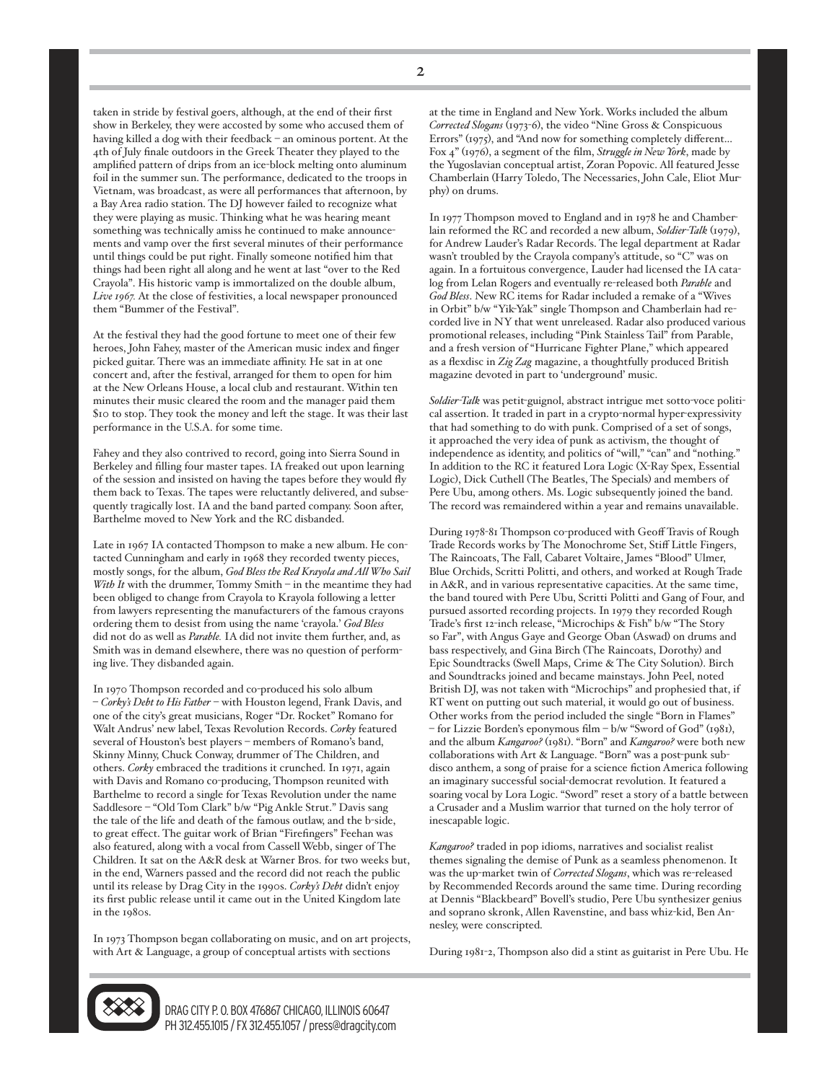taken in stride by festival goers, although, at the end of their first show in Berkeley, they were accosted by some who accused them of having killed a dog with their feedback – an ominous portent. At the 4th of July finale outdoors in the Greek Theater they played to the amplified pattern of drips from an ice-block melting onto aluminum foil in the summer sun. The performance, dedicated to the troops in Vietnam, was broadcast, as were all performances that afternoon, by a Bay Area radio station. The DJ however failed to recognize what they were playing as music. Thinking what he was hearing meant something was technically amiss he continued to make announcements and vamp over the first several minutes of their performance until things could be put right. Finally someone notified him that things had been right all along and he went at last "over to the Red Crayola". His historic vamp is immortalized on the double album, *Live 1967.* At the close of festivities, a local newspaper pronounced them "Bummer of the Festival".

At the festival they had the good fortune to meet one of their few heroes, John Fahey, master of the American music index and finger picked guitar. There was an immediate affinity. He sat in at one concert and, after the festival, arranged for them to open for him at the New Orleans House, a local club and restaurant. Within ten minutes their music cleared the room and the manager paid them \$10 to stop. They took the money and left the stage. It was their last performance in the U.S.A. for some time.

Fahey and they also contrived to record, going into Sierra Sound in Berkeley and filling four master tapes. IA freaked out upon learning of the session and insisted on having the tapes before they would fly them back to Texas. The tapes were reluctantly delivered, and subsequently tragically lost. IA and the band parted company. Soon after, Barthelme moved to New York and the RC disbanded.

Late in 1967 IA contacted Thompson to make a new album. He contacted Cunningham and early in 1968 they recorded twenty pieces, mostly songs, for the album, *God Bless the Red Krayola and All Who Sail With It* with the drummer, Tommy Smith – in the meantime they had been obliged to change from Crayola to Krayola following a letter from lawyers representing the manufacturers of the famous crayons ordering them to desist from using the name 'crayola.' *God Bless* did not do as well as *Parable.* IA did not invite them further, and, as Smith was in demand elsewhere, there was no question of performing live. They disbanded again.

In 1970 Thompson recorded and co-produced his solo album – *Corky's Debt to His Father* – with Houston legend, Frank Davis, and one of the city's great musicians, Roger "Dr. Rocket" Romano for Walt Andrus' new label, Texas Revolution Records. *Corky* featured several of Houston's best players – members of Romano's band, Skinny Minny, Chuck Conway, drummer of The Children, and others. *Corky* embraced the traditions it crunched. In 1971, again with Davis and Romano co-producing, Thompson reunited with Barthelme to record a single for Texas Revolution under the name Saddlesore – "Old Tom Clark" b/w "Pig Ankle Strut." Davis sang the tale of the life and death of the famous outlaw, and the b-side, to great effect. The guitar work of Brian "Firefingers" Feehan was also featured, along with a vocal from Cassell Webb, singer of The Children. It sat on the A&R desk at Warner Bros. for two weeks but, in the end, Warners passed and the record did not reach the public until its release by Drag City in the 1990s. *Corky's Debt* didn't enjoy its first public release until it came out in the United Kingdom late in the 1980s.

In 1973 Thompson began collaborating on music, and on art projects, with Art & Language, a group of conceptual artists with sections

at the time in England and New York. Works included the album *Corrected Slogans* (1973-6), the video "Nine Gross & Conspicuous Errors" (1975), and "And now for something completely different... Fox 4" (1976), a segment of the film, *Struggle in New York*, made by the Yugoslavian conceptual artist, Zoran Popovic. All featured Jesse Chamberlain (Harry Toledo, The Necessaries, John Cale, Eliot Murphy) on drums.

In 1977 Thompson moved to England and in 1978 he and Chamberlain reformed the RC and recorded a new album, *Soldier-Talk* (1979), for Andrew Lauder's Radar Records. The legal department at Radar wasn't troubled by the Crayola company's attitude, so "C" was on again. In a fortuitous convergence, Lauder had licensed the IA catalog from Lelan Rogers and eventually re-released both *Parable* and *God Bless*. New RC items for Radar included a remake of a "Wives in Orbit" b/w "Yik-Yak" single Thompson and Chamberlain had recorded live in NY that went unreleased. Radar also produced various promotional releases, including "Pink Stainless Tail" from Parable, and a fresh version of "Hurricane Fighter Plane," which appeared as a flexdisc in *Zig Zag* magazine, a thoughtfully produced British magazine devoted in part to 'underground' music.

*Soldier-Talk* was petit-guignol, abstract intrigue met sotto-voce political assertion. It traded in part in a crypto-normal hyper-expressivity that had something to do with punk. Comprised of a set of songs, it approached the very idea of punk as activism, the thought of independence as identity, and politics of "will," "can" and "nothing." In addition to the RC it featured Lora Logic (X-Ray Spex, Essential Logic), Dick Cuthell (The Beatles, The Specials) and members of Pere Ubu, among others. Ms. Logic subsequently joined the band. The record was remaindered within a year and remains unavailable.

During 1978-81 Thompson co-produced with Geoff Travis of Rough Trade Records works by The Monochrome Set, Stiff Little Fingers, The Raincoats, The Fall, Cabaret Voltaire, James "Blood" Ulmer, Blue Orchids, Scritti Politti, and others, and worked at Rough Trade in A&R, and in various representative capacities. At the same time, the band toured with Pere Ubu, Scritti Politti and Gang of Four, and pursued assorted recording projects. In 1979 they recorded Rough Trade's first 12-inch release, "Microchips & Fish" b/w "The Story so Far", with Angus Gaye and George Oban (Aswad) on drums and bass respectively, and Gina Birch (The Raincoats, Dorothy) and Epic Soundtracks (Swell Maps, Crime & The City Solution). Birch and Soundtracks joined and became mainstays. John Peel, noted British DJ, was not taken with "Microchips" and prophesied that, if RT went on putting out such material, it would go out of business. Other works from the period included the single "Born in Flames" – for Lizzie Borden's eponymous film – b/w "Sword of God" (1981), and the album *Kangaroo?* (1981). "Born" and *Kangaroo?* were both new collaborations with Art & Language. "Born" was a post-punk subdisco anthem, a song of praise for a science fiction America following an imaginary successful social-democrat revolution. It featured a soaring vocal by Lora Logic. "Sword" reset a story of a battle between a Crusader and a Muslim warrior that turned on the holy terror of inescapable logic.

*Kangaroo?* traded in pop idioms, narratives and socialist realist themes signaling the demise of Punk as a seamless phenomenon. It was the up-market twin of *Corrected Slogans*, which was re-released by Recommended Records around the same time. During recording at Dennis "Blackbeard" Bovell's studio, Pere Ubu synthesizer genius and soprano skronk, Allen Ravenstine, and bass whiz-kid, Ben Annesley, were conscripted.

During 1981-2, Thompson also did a stint as guitarist in Pere Ubu. He



DRAG CITY P.O. BOX 476867 CHICAGO, ILLINOIS 60647 PH 312.455.1015 / FX 312.455.1057 / press@dragcity.com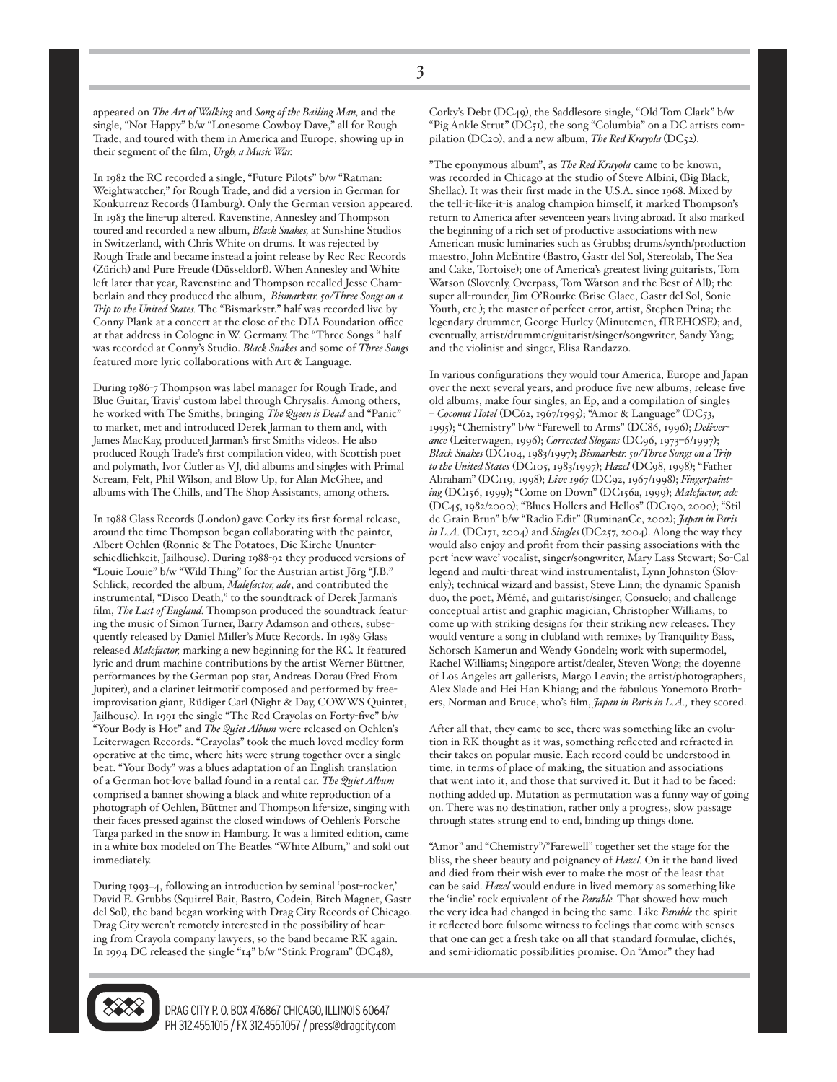appeared on *The Art of Walking* and *Song of the Bailing Man,* and the single, "Not Happy" b/w "Lonesome Cowboy Dave," all for Rough Trade, and toured with them in America and Europe, showing up in their segment of the film, *Urgh, a Music War.*

In 1982 the RC recorded a single, "Future Pilots" b/w "Ratman: Weightwatcher," for Rough Trade, and did a version in German for Konkurrenz Records (Hamburg). Only the German version appeared. In 1983 the line-up altered. Ravenstine, Annesley and Thompson toured and recorded a new album, *Black Snakes,* at Sunshine Studios in Switzerland, with Chris White on drums. It was rejected by Rough Trade and became instead a joint release by Rec Rec Records (Zürich) and Pure Freude (Düsseldorf). When Annesley and White left later that year, Ravenstine and Thompson recalled Jesse Chamberlain and they produced the album, *Bismarkstr. 50/Three Songs on a Trip to the United States.* The "Bismarkstr." half was recorded live by Conny Plank at a concert at the close of the DIA Foundation office at that address in Cologne in W. Germany. The "Three Songs " half was recorded at Conny's Studio. *Black Snakes* and some of *Three Songs* featured more lyric collaborations with Art & Language.

During 1986-7 Thompson was label manager for Rough Trade, and Blue Guitar, Travis' custom label through Chrysalis. Among others, he worked with The Smiths, bringing *The Queen is Dead* and "Panic" to market, met and introduced Derek Jarman to them and, with James MacKay, produced Jarman's first Smiths videos. He also produced Rough Trade's first compilation video, with Scottish poet and polymath, Ivor Cutler as VJ, did albums and singles with Primal Scream, Felt, Phil Wilson, and Blow Up, for Alan McGhee, and albums with The Chills, and The Shop Assistants, among others.

In 1988 Glass Records (London) gave Corky its first formal release, around the time Thompson began collaborating with the painter, Albert Oehlen (Ronnie & The Potatoes, Die Kirche Ununterschiedlichkeit, Jailhouse). During 1988-92 they produced versions of "Louie Louie" b/w "Wild Thing" for the Austrian artist Jörg "J.B." Schlick, recorded the album, *Malefactor, ade*, and contributed the instrumental, "Disco Death," to the soundtrack of Derek Jarman's film, *The Last of England.* Thompson produced the soundtrack featuring the music of Simon Turner, Barry Adamson and others, subsequently released by Daniel Miller's Mute Records. In 1989 Glass released *Malefactor,* marking a new beginning for the RC. It featured lyric and drum machine contributions by the artist Werner Büttner, performances by the German pop star, Andreas Dorau (Fred From Jupiter), and a clarinet leitmotif composed and performed by freeimprovisation giant, Rüdiger Carl (Night & Day, COWWS Quintet, Jailhouse). In 1991 the single "The Red Crayolas on Forty-five" b/w "Your Body is Hot" and *The Quiet Album* were released on Oehlen's Leiterwagen Records. "Crayolas" took the much loved medley form operative at the time, where hits were strung together over a single beat. "Your Body" was a blues adaptation of an English translation of a German hot-love ballad found in a rental car. *The Quiet Album* comprised a banner showing a black and white reproduction of a photograph of Oehlen, Büttner and Thompson life-size, singing with their faces pressed against the closed windows of Oehlen's Porsche Targa parked in the snow in Hamburg. It was a limited edition, came in a white box modeled on The Beatles "White Album," and sold out immediately.

During 1993–4, following an introduction by seminal 'post-rocker,' David E. Grubbs (Squirrel Bait, Bastro, Codein, Bitch Magnet, Gastr del Sol), the band began working with Drag City Records of Chicago. Drag City weren't remotely interested in the possibility of hearing from Crayola company lawyers, so the band became RK again. In 1994 DC released the single "14" b/w "Stink Program" (DC48),



"The eponymous album", as *The Red Krayola* came to be known, was recorded in Chicago at the studio of Steve Albini, (Big Black, Shellac). It was their first made in the U.S.A. since 1968. Mixed by the tell-it-like-it-is analog champion himself, it marked Thompson's return to America after seventeen years living abroad. It also marked the beginning of a rich set of productive associations with new American music luminaries such as Grubbs; drums/synth/production maestro, John McEntire (Bastro, Gastr del Sol, Stereolab, The Sea and Cake, Tortoise); one of America's greatest living guitarists, Tom Watson (Slovenly, Overpass, Tom Watson and the Best of All); the super all-rounder, Jim O'Rourke (Brise Glace, Gastr del Sol, Sonic Youth, etc.); the master of perfect error, artist, Stephen Prina; the legendary drummer, George Hurley (Minutemen, fIREHOSE); and, eventually, artist/drummer/guitarist/singer/songwriter, Sandy Yang; and the violinist and singer, Elisa Randazzo.

In various configurations they would tour America, Europe and Japan over the next several years, and produce five new albums, release five old albums, make four singles, an Ep, and a compilation of singles – *Coconut Hotel* (DC62, 1967/1995); "Amor & Language" (DC53, 1995); "Chemistry" b/w "Farewell to Arms" (DC86, 1996); *Deliverance* (Leiterwagen, 1996); *Corrected Slogans* (DC96, 1973–6/1997); *Black Snakes* (DC104, 1983/1997); *Bismarkstr. 50/Three Songs on a Trip to the United States* (DC105, 1983/1997); *Hazel* (DC98, 1998); "Father Abraham" (DC119, 1998); *Live 1967* (DC92, 1967/1998); *Fingerpainting* (DC156, 1999); "Come on Down" (DC156a, 1999); *Malefactor, ade* (DC45, 1982/2000); "Blues Hollers and Hellos" (DC190, 2000); "Stil de Grain Brun" b/w "Radio Edit" (RuminanCe, 2002); *Japan in Paris in L.A.* (DC171, 2004) and *Singles* (DC257, 2004). Along the way they would also enjoy and profit from their passing associations with the pert 'new wave' vocalist, singer/songwriter, Mary Lass Stewart; So-Cal legend and multi-threat wind instrumentalist, Lynn Johnston (Slovenly); technical wizard and bassist, Steve Linn; the dynamic Spanish duo, the poet, Mémé, and guitarist/singer, Consuelo; and challenge conceptual artist and graphic magician, Christopher Williams, to come up with striking designs for their striking new releases. They would venture a song in clubland with remixes by Tranquility Bass, Schorsch Kamerun and Wendy Gondeln; work with supermodel, Rachel Williams; Singapore artist/dealer, Steven Wong; the doyenne of Los Angeles art gallerists, Margo Leavin; the artist/photographers, Alex Slade and Hei Han Khiang; and the fabulous Yonemoto Brothers, Norman and Bruce, who's film, *Japan in Paris in L.A.,* they scored.

After all that, they came to see, there was something like an evolution in RK thought as it was, something reflected and refracted in their takes on popular music. Each record could be understood in time, in terms of place of making, the situation and associations that went into it, and those that survived it. But it had to be faced: nothing added up. Mutation as permutation was a funny way of going on. There was no destination, rather only a progress, slow passage through states strung end to end, binding up things done.

"Amor" and "Chemistry"/"Farewell" together set the stage for the bliss, the sheer beauty and poignancy of *Hazel.* On it the band lived and died from their wish ever to make the most of the least that can be said. *Hazel* would endure in lived memory as something like the 'indie' rock equivalent of the *Parable.* That showed how much the very idea had changed in being the same. Like *Parable* the spirit it reflected bore fulsome witness to feelings that come with senses that one can get a fresh take on all that standard formulae, clichés, and semi-idiomatic possibilities promise. On "Amor" they had



DRAG CITY P.O. BOX 476867 CHICAGO. ILLINOIS 60647 PH 312.455.1015 / FX 312.455.1057 / press@dragcity.com